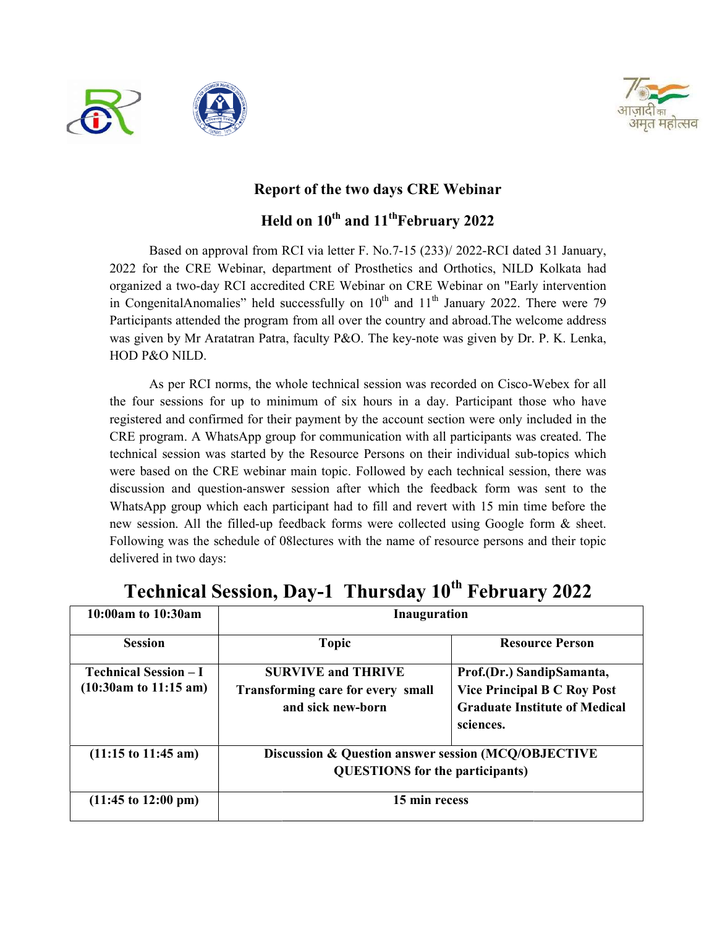



## Report of the two days CRE Webinar

Held on  $10^\mathrm{th}$  and  $11^\mathrm{th}$ February 2022

Based on approval from RCI via letter F. No.7-15 (233)/ 2022-RCI dated 31 January, 2022 for the CRE Webinar, department of Prosthetics and Orthotics, NILD Kolkata had 2022 for the CRE Webinar, department of Prosthetics and Orthotics, NILD Kolkata had<br>organized a two-day RCI accredited CRE Webinar on CRE Webinar on "Early intervention 2022 for the CRE Webinar, department of Prosthetics and Orthotics, NILD Kolkata had<br>organized a two-day RCI accredited CRE Webinar on CRE Webinar on "Early intervention<br>in CongenitalAnomalies" held successfully on 10<sup>th</sup> a Participants attended the program from all over the country and abroad. The welcome address was given by Mr Aratatran Patra, faculty P&O. The key-note was given by Dr. P. K. Lenka, HOD P&O NILD. en by Mr Aratatran Patra, faculty P&O. The key-note was given by Dr. P. K. Lenka,<br>&O NILD.<br>As per RCI norms, the whole technical session was recorded on Cisco-Webex for all

the four sessions for up to minimum of six hours in a day. Participant those who have registered and confirmed for their payment by the account section were only included in the registered and confirmed for their payment by the account section were only included in the<br>CRE program. A WhatsApp group for communication with all participants was created. The technical session was started by the Resource Persons on their individual sub-topics which were based on the CRE webinar main topic. Followed by each technical session, there was discussion and question-answer session after which the feedback form was sent to the WhatsApp group which each participant had to fill and revert with 15 min time before the WhatsApp group which each participant had to fill and revert with 15 min time before the new session. All the filled-up feedback forms were collected using Google form & sheet. Following was the schedule of 08 lectures with the name of resource persons and their topic delivered in two days: h participant had to fill and revert with 15 min time before the<br>up feedback forms were collected using Google form & sheet.<br>of 08lectures with the name of resource persons and their topic the four sessions for up to minimum of six hours in a day. Participant those who have<br>registered and confirmed for their payment by the account section were only included in the<br>CRE program. A WhatsApp group for communicat were collected using Google

| 10:00am to 10:30am                                                       | <b>Inauguration</b>                                                                           |                                                                                                                      |  |
|--------------------------------------------------------------------------|-----------------------------------------------------------------------------------------------|----------------------------------------------------------------------------------------------------------------------|--|
| <b>Session</b>                                                           | <b>Topic</b>                                                                                  | <b>Resource Person</b>                                                                                               |  |
| <b>Technical Session - I</b><br>$(10:30am \text{ to } 11:15 \text{ am})$ | <b>SURVIVE and THRIVE</b><br>Transforming care for every small<br>and sick new-born           | Prof.(Dr.) SandipSamanta,<br><b>Vice Principal B C Roy Post</b><br><b>Graduate Institute of Medical</b><br>sciences. |  |
| $(11:15 \text{ to } 11:45 \text{ am})$                                   | Discussion & Question answer session (MCQ/OBJECTIVE<br><b>QUESTIONS</b> for the participants) |                                                                                                                      |  |
| $(11:45 \text{ to } 12:00 \text{ pm})$                                   | 15 min recess                                                                                 |                                                                                                                      |  |

## Technical Session, Day-1 Thursday 10<sup>th</sup> February 2022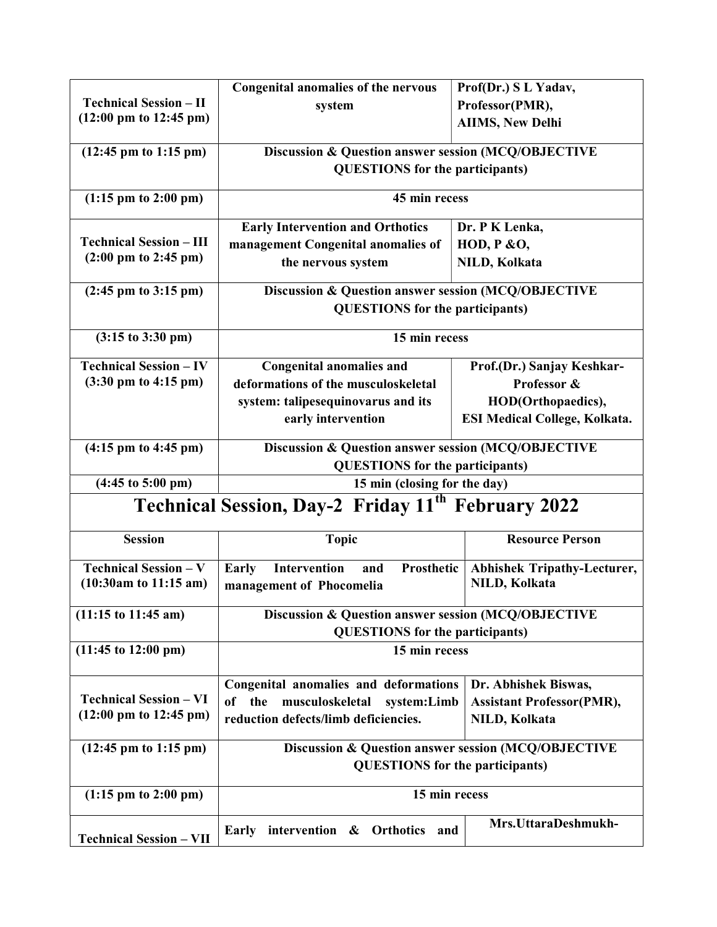|                                           | <b>Congenital anomalies of the nervous</b>                     | Prof(Dr.) SL Yadav,                  |  |  |
|-------------------------------------------|----------------------------------------------------------------|--------------------------------------|--|--|
| <b>Technical Session - II</b>             | system                                                         | Professor(PMR),                      |  |  |
| $(12:00 \text{ pm to } 12:45 \text{ pm})$ |                                                                | <b>AIIMS, New Delhi</b>              |  |  |
|                                           | Discussion & Question answer session (MCQ/OBJECTIVE            |                                      |  |  |
| $(12:45 \text{ pm to } 1:15 \text{ pm})$  | <b>QUESTIONS</b> for the participants)                         |                                      |  |  |
|                                           |                                                                |                                      |  |  |
| $(1:15 \text{ pm to } 2:00 \text{ pm})$   |                                                                | 45 min recess                        |  |  |
|                                           | <b>Early Intervention and Orthotics</b>                        | Dr. P K Lenka,                       |  |  |
| <b>Technical Session - III</b>            | management Congenital anomalies of                             | <b>HOD, P &amp;O,</b>                |  |  |
| $(2:00 \text{ pm to } 2:45 \text{ pm})$   | the nervous system                                             | NILD, Kolkata                        |  |  |
| $(2:45 \text{ pm to } 3:15 \text{ pm})$   | Discussion & Question answer session (MCQ/OBJECTIVE            |                                      |  |  |
|                                           | <b>QUESTIONS</b> for the participants)                         |                                      |  |  |
| $(3:15 \text{ to } 3:30 \text{ pm})$      | 15 min recess                                                  |                                      |  |  |
| <b>Technical Session - IV</b>             | <b>Congenital anomalies and</b>                                | Prof.(Dr.) Sanjay Keshkar-           |  |  |
| $(3:30 \text{ pm to } 4:15 \text{ pm})$   | deformations of the musculoskeletal                            | Professor &                          |  |  |
|                                           | system: talipesequinovarus and its                             | HOD(Orthopaedics),                   |  |  |
|                                           | early intervention                                             | <b>ESI Medical College, Kolkata.</b> |  |  |
| $(4:15 \text{ pm to } 4:45 \text{ pm})$   | Discussion & Question answer session (MCQ/OBJECTIVE            |                                      |  |  |
|                                           | <b>QUESTIONS</b> for the participants)                         |                                      |  |  |
| $(4:45 \text{ to } 5:00 \text{ pm})$      |                                                                | 15 min (closing for the day)         |  |  |
|                                           | Technical Session, Day-2 Friday 11 <sup>th</sup> February 2022 |                                      |  |  |
|                                           |                                                                |                                      |  |  |
| <b>Session</b>                            | <b>Topic</b>                                                   | <b>Resource Person</b>               |  |  |
| <b>Technical Session - V</b>              | <b>Intervention</b><br>Prosthetic<br><b>Early</b><br>and       | <b>Abhishek Tripathy-Lecturer,</b>   |  |  |
| $(10:30am)$ to 11:15 am)                  | management of Phocomelia                                       | NILD, Kolkata                        |  |  |
|                                           |                                                                |                                      |  |  |
| $(11:15 \text{ to } 11:45 \text{ am})$    | Discussion & Question answer session (MCQ/OBJECTIVE            |                                      |  |  |
| $(11:45 \text{ to } 12:00 \text{ pm})$    | <b>QUESTIONS</b> for the participants)<br>15 min recess        |                                      |  |  |
|                                           |                                                                |                                      |  |  |
|                                           | Congenital anomalies and deformations                          | Dr. Abhishek Biswas,                 |  |  |
| <b>Technical Session - VI</b>             | musculoskeletal system:Limb<br>of the                          | <b>Assistant Professor(PMR),</b>     |  |  |
| $(12:00 \text{ pm to } 12:45 \text{ pm})$ | reduction defects/limb deficiencies.                           | NILD, Kolkata                        |  |  |
| $(12:45 \text{ pm to } 1:15 \text{ pm})$  | Discussion & Question answer session (MCQ/OBJECTIVE            |                                      |  |  |
|                                           | <b>QUESTIONS</b> for the participants)                         |                                      |  |  |
|                                           |                                                                |                                      |  |  |
| $(1:15 \text{ pm to } 2:00 \text{ pm})$   | 15 min recess                                                  |                                      |  |  |
|                                           |                                                                | Mrs.UttaraDeshmukh-                  |  |  |
| <b>Technical Session - VII</b>            | Early intervention & Orthotics<br>and                          |                                      |  |  |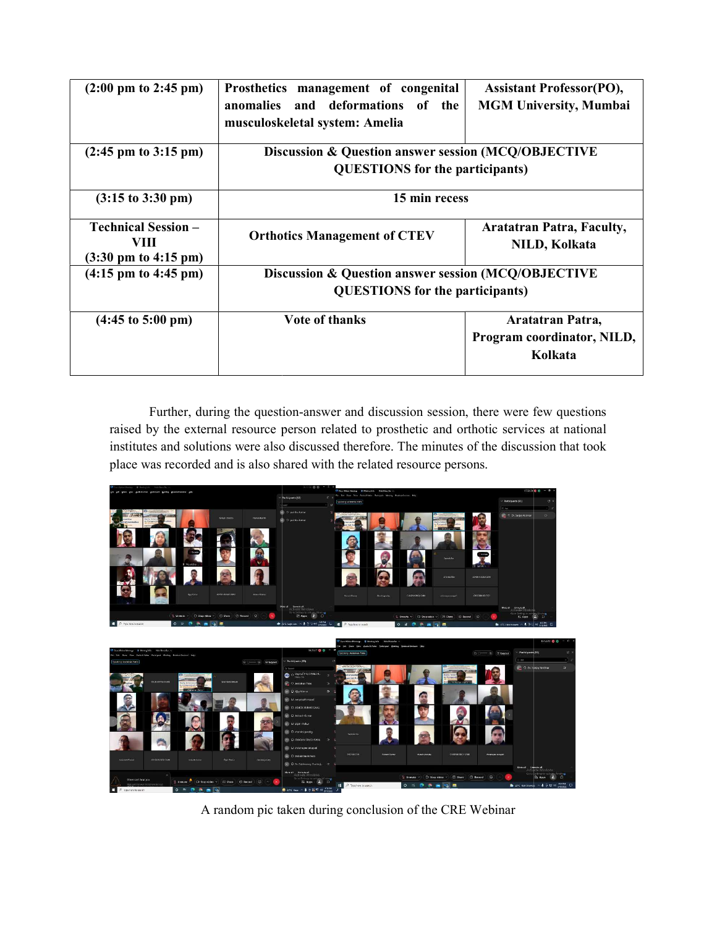| $(2:00 \text{ pm to } 2:45 \text{ pm})$                                       | Prosthetics management of congenital<br>anomalies and deformations of the<br>musculoskeletal system: Amelia | <b>Assistant Professor(PO),</b><br><b>MGM University, Mumbai</b> |
|-------------------------------------------------------------------------------|-------------------------------------------------------------------------------------------------------------|------------------------------------------------------------------|
| $(2:45 \text{ pm to } 3:15 \text{ pm})$                                       | Discussion & Question answer session (MCQ/OBJECTIVE<br><b>QUESTIONS</b> for the participants)               |                                                                  |
| $(3:15 \text{ to } 3:30 \text{ pm})$                                          | 15 min recess                                                                                               |                                                                  |
| <b>Technical Session -</b><br>VIII<br>$(3:30 \text{ pm to } 4:15 \text{ pm})$ | <b>Orthotics Management of CTEV</b>                                                                         | <b>Aratatran Patra, Faculty,</b><br>NILD, Kolkata                |
| $(4:15 \text{ pm to } 4:45 \text{ pm})$                                       | Discussion & Question answer session (MCQ/OBJECTIVE<br><b>QUESTIONS</b> for the participants)               |                                                                  |
| $(4:45 \text{ to } 5:00 \text{ pm})$                                          | <b>Vote of thanks</b>                                                                                       | Aratatran Patra,<br>Program coordinator, NILD,<br>Kolkata        |

Further, during the question-answer and discussion session, there were few questions Further, during the question-answer and discussion session, there were few questions<br>raised by the external resource person related to prosthetic and orthotic services at national institutes and solutions were also discussed therefore. The minutes of the discussion that took place was recorded and is also shared with the related resource persons.



A random pic taken during conclusion of the CRE Webinar